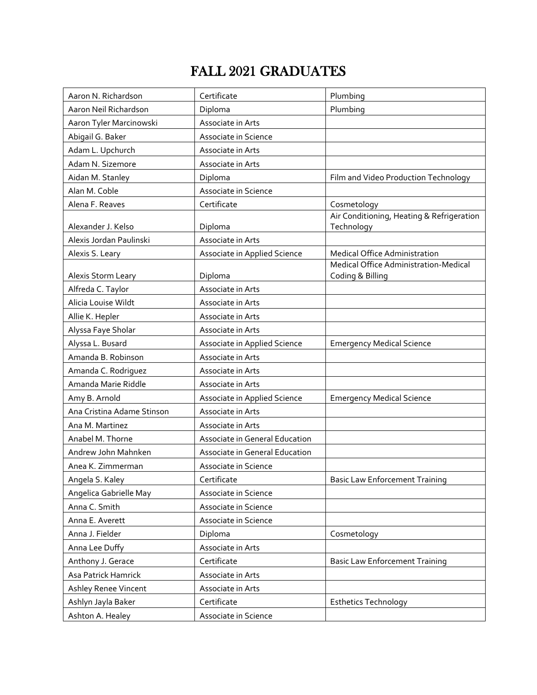## FALL 2021 GRADUATES

| Aaron N. Richardson        | Certificate                    | Plumbing                                                  |
|----------------------------|--------------------------------|-----------------------------------------------------------|
| Aaron Neil Richardson      | Diploma                        | Plumbing                                                  |
| Aaron Tyler Marcinowski    | Associate in Arts              |                                                           |
| Abigail G. Baker           | Associate in Science           |                                                           |
| Adam L. Upchurch           | Associate in Arts              |                                                           |
| Adam N. Sizemore           | Associate in Arts              |                                                           |
| Aidan M. Stanley           | Diploma                        | Film and Video Production Technology                      |
| Alan M. Coble              | Associate in Science           |                                                           |
| Alena F. Reaves            | Certificate                    | Cosmetology                                               |
|                            |                                | Air Conditioning, Heating & Refrigeration                 |
| Alexander J. Kelso         | Diploma                        | Technology                                                |
| Alexis Jordan Paulinski    | Associate in Arts              |                                                           |
| Alexis S. Leary            | Associate in Applied Science   | Medical Office Administration                             |
| Alexis Storm Leary         | Diploma                        | Medical Office Administration-Medical<br>Coding & Billing |
| Alfreda C. Taylor          | Associate in Arts              |                                                           |
| Alicia Louise Wildt        | Associate in Arts              |                                                           |
| Allie K. Hepler            | Associate in Arts              |                                                           |
| Alyssa Faye Sholar         | Associate in Arts              |                                                           |
| Alyssa L. Busard           | Associate in Applied Science   | <b>Emergency Medical Science</b>                          |
| Amanda B. Robinson         | Associate in Arts              |                                                           |
| Amanda C. Rodriguez        | Associate in Arts              |                                                           |
| Amanda Marie Riddle        | Associate in Arts              |                                                           |
| Amy B. Arnold              | Associate in Applied Science   | <b>Emergency Medical Science</b>                          |
| Ana Cristina Adame Stinson | Associate in Arts              |                                                           |
| Ana M. Martinez            | Associate in Arts              |                                                           |
| Anabel M. Thorne           | Associate in General Education |                                                           |
| Andrew John Mahnken        | Associate in General Education |                                                           |
| Anea K. Zimmerman          | Associate in Science           |                                                           |
| Angela S. Kaley            | Certificate                    | <b>Basic Law Enforcement Training</b>                     |
| Angelica Gabrielle May     | Associate in Science           |                                                           |
| Anna C. Smith              | Associate in Science           |                                                           |
| Anna E. Averett            | Associate in Science           |                                                           |
| Anna J. Fielder            | Diploma                        | Cosmetology                                               |
| Anna Lee Duffy             | Associate in Arts              |                                                           |
| Anthony J. Gerace          | Certificate                    | <b>Basic Law Enforcement Training</b>                     |
| Asa Patrick Hamrick        | Associate in Arts              |                                                           |
| Ashley Renee Vincent       | Associate in Arts              |                                                           |
| Ashlyn Jayla Baker         | Certificate                    | <b>Esthetics Technology</b>                               |
| Ashton A. Healey           | Associate in Science           |                                                           |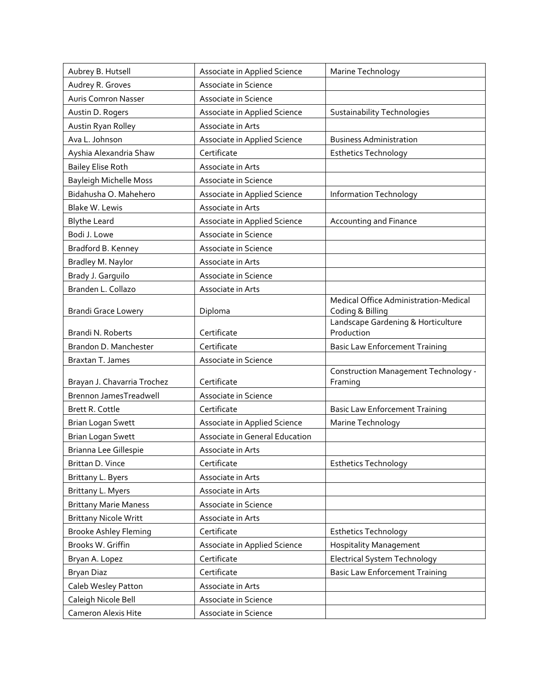| Aubrey B. Hutsell             | Associate in Applied Science   | Marine Technology                                |
|-------------------------------|--------------------------------|--------------------------------------------------|
| Audrey R. Groves              | Associate in Science           |                                                  |
| <b>Auris Comron Nasser</b>    | Associate in Science           |                                                  |
| Austin D. Rogers              | Associate in Applied Science   | <b>Sustainability Technologies</b>               |
| Austin Ryan Rolley            | Associate in Arts              |                                                  |
| Ava L. Johnson                | Associate in Applied Science   | <b>Business Administration</b>                   |
| Ayshia Alexandria Shaw        | Certificate                    | <b>Esthetics Technology</b>                      |
| <b>Bailey Elise Roth</b>      | Associate in Arts              |                                                  |
| <b>Bayleigh Michelle Moss</b> | Associate in Science           |                                                  |
| Bidahusha O. Mahehero         | Associate in Applied Science   | Information Technology                           |
| Blake W. Lewis                | Associate in Arts              |                                                  |
| <b>Blythe Leard</b>           | Associate in Applied Science   | <b>Accounting and Finance</b>                    |
| Bodi J. Lowe                  | Associate in Science           |                                                  |
| Bradford B. Kenney            | Associate in Science           |                                                  |
| Bradley M. Naylor             | Associate in Arts              |                                                  |
| Brady J. Garguilo             | Associate in Science           |                                                  |
| Branden L. Collazo            | Associate in Arts              |                                                  |
|                               |                                | Medical Office Administration-Medical            |
| <b>Brandi Grace Lowery</b>    | Diploma                        | Coding & Billing                                 |
| Brandi N. Roberts             | Certificate                    | Landscape Gardening & Horticulture<br>Production |
| Brandon D. Manchester         | Certificate                    | <b>Basic Law Enforcement Training</b>            |
| Braxtan T. James              | Associate in Science           |                                                  |
|                               |                                | Construction Management Technology -             |
| Brayan J. Chavarria Trochez   | Certificate                    | Framing                                          |
| Brennon JamesTreadwell        | Associate in Science           |                                                  |
| Brett R. Cottle               | Certificate                    | <b>Basic Law Enforcement Training</b>            |
| <b>Brian Logan Swett</b>      | Associate in Applied Science   | Marine Technology                                |
| <b>Brian Logan Swett</b>      | Associate in General Education |                                                  |
| Brianna Lee Gillespie         | Associate in Arts              |                                                  |
| Brittan D. Vince              | Certificate                    | <b>Esthetics Technology</b>                      |
| Brittany L. Byers             | Associate in Arts              |                                                  |
| Brittany L. Myers             | Associate in Arts              |                                                  |
| <b>Brittany Marie Maness</b>  | Associate in Science           |                                                  |
| <b>Brittany Nicole Writt</b>  | Associate in Arts              |                                                  |
| <b>Brooke Ashley Fleming</b>  | Certificate                    | <b>Esthetics Technology</b>                      |
| Brooks W. Griffin             | Associate in Applied Science   | <b>Hospitality Management</b>                    |
| Bryan A. Lopez                | Certificate                    | <b>Electrical System Technology</b>              |
| <b>Bryan Diaz</b>             | Certificate                    | <b>Basic Law Enforcement Training</b>            |
| Caleb Wesley Patton           | Associate in Arts              |                                                  |
| Caleigh Nicole Bell           | Associate in Science           |                                                  |
| Cameron Alexis Hite           | Associate in Science           |                                                  |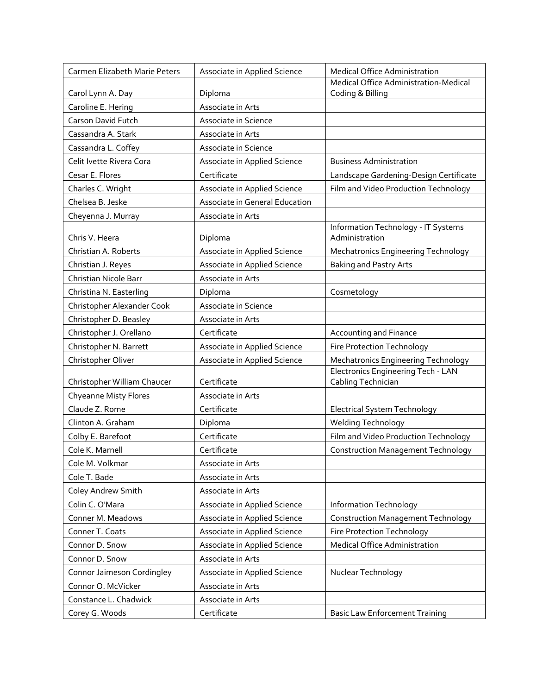| Carmen Elizabeth Marie Peters | Associate in Applied Science   | <b>Medical Office Administration</b>                     |
|-------------------------------|--------------------------------|----------------------------------------------------------|
|                               |                                | Medical Office Administration-Medical                    |
| Carol Lynn A. Day             | Diploma                        | Coding & Billing                                         |
| Caroline E. Hering            | Associate in Arts              |                                                          |
| Carson David Futch            | Associate in Science           |                                                          |
| Cassandra A. Stark            | Associate in Arts              |                                                          |
| Cassandra L. Coffey           | Associate in Science           |                                                          |
| Celit Ivette Rivera Cora      | Associate in Applied Science   | <b>Business Administration</b>                           |
| Cesar E. Flores               | Certificate                    | Landscape Gardening-Design Certificate                   |
| Charles C. Wright             | Associate in Applied Science   | Film and Video Production Technology                     |
| Chelsea B. Jeske              | Associate in General Education |                                                          |
| Cheyenna J. Murray            | Associate in Arts              |                                                          |
| Chris V. Heera                | Diploma                        | Information Technology - IT Systems<br>Administration    |
| Christian A. Roberts          | Associate in Applied Science   | <b>Mechatronics Engineering Technology</b>               |
| Christian J. Reyes            | Associate in Applied Science   | <b>Baking and Pastry Arts</b>                            |
| Christian Nicole Barr         | Associate in Arts              |                                                          |
| Christina N. Easterling       | Diploma                        | Cosmetology                                              |
| Christopher Alexander Cook    | Associate in Science           |                                                          |
| Christopher D. Beasley        | Associate in Arts              |                                                          |
| Christopher J. Orellano       | Certificate                    | Accounting and Finance                                   |
| Christopher N. Barrett        | Associate in Applied Science   | <b>Fire Protection Technology</b>                        |
| Christopher Oliver            | Associate in Applied Science   | <b>Mechatronics Engineering Technology</b>               |
| Christopher William Chaucer   | Certificate                    | Electronics Engineering Tech - LAN<br>Cabling Technician |
| <b>Chyeanne Misty Flores</b>  | Associate in Arts              |                                                          |
| Claude Z. Rome                | Certificate                    | Electrical System Technology                             |
| Clinton A. Graham             | Diploma                        | Welding Technology                                       |
| Colby E. Barefoot             | Certificate                    | Film and Video Production Technology                     |
| Cole K. Marnell               | Certificate                    | <b>Construction Management Technology</b>                |
| Cole M. Volkmar               | Associate in Arts              |                                                          |
| Cole T. Bade                  | Associate in Arts              |                                                          |
| Coley Andrew Smith            | Associate in Arts              |                                                          |
| Colin C. O'Mara               | Associate in Applied Science   | Information Technology                                   |
| Conner M. Meadows             | Associate in Applied Science   | <b>Construction Management Technology</b>                |
| Conner T. Coats               | Associate in Applied Science   | <b>Fire Protection Technology</b>                        |
| Connor D. Snow                | Associate in Applied Science   | Medical Office Administration                            |
| Connor D. Snow                | Associate in Arts              |                                                          |
| Connor Jaimeson Cordingley    | Associate in Applied Science   | Nuclear Technology                                       |
| Connor O. McVicker            | Associate in Arts              |                                                          |
| Constance L. Chadwick         | Associate in Arts              |                                                          |
| Corey G. Woods                | Certificate                    | <b>Basic Law Enforcement Training</b>                    |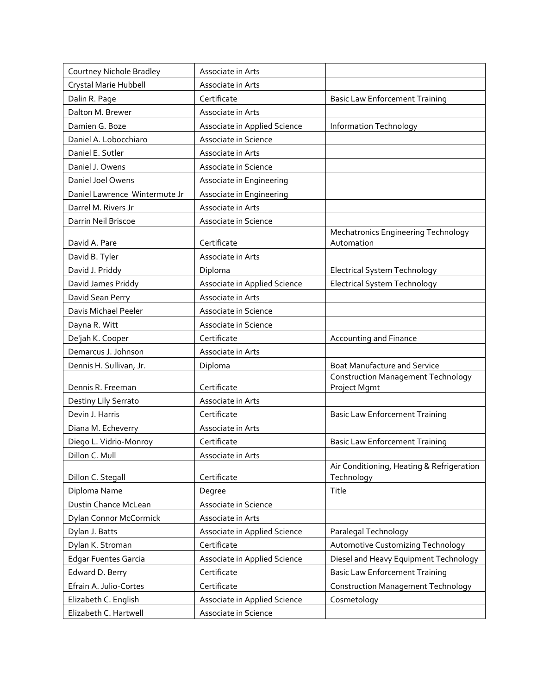| Courtney Nichole Bradley      | Associate in Arts            |                                                           |
|-------------------------------|------------------------------|-----------------------------------------------------------|
| Crystal Marie Hubbell         | Associate in Arts            |                                                           |
| Dalin R. Page                 | Certificate                  | <b>Basic Law Enforcement Training</b>                     |
| Dalton M. Brewer              | Associate in Arts            |                                                           |
| Damien G. Boze                | Associate in Applied Science | Information Technology                                    |
| Daniel A. Lobocchiaro         | Associate in Science         |                                                           |
| Daniel E. Sutler              | Associate in Arts            |                                                           |
| Daniel J. Owens               | Associate in Science         |                                                           |
| Daniel Joel Owens             | Associate in Engineering     |                                                           |
| Daniel Lawrence Wintermute Jr | Associate in Engineering     |                                                           |
| Darrel M. Rivers Jr           | Associate in Arts            |                                                           |
|                               |                              |                                                           |
| Darrin Neil Briscoe           | Associate in Science         | <b>Mechatronics Engineering Technology</b>                |
| David A. Pare                 | Certificate                  | Automation                                                |
| David B. Tyler                | Associate in Arts            |                                                           |
| David J. Priddy               | Diploma                      | <b>Electrical System Technology</b>                       |
| David James Priddy            | Associate in Applied Science | <b>Electrical System Technology</b>                       |
| David Sean Perry              | Associate in Arts            |                                                           |
| Davis Michael Peeler          | Associate in Science         |                                                           |
| Dayna R. Witt                 | Associate in Science         |                                                           |
| De'jah K. Cooper              | Certificate                  | Accounting and Finance                                    |
| Demarcus J. Johnson           | Associate in Arts            |                                                           |
| Dennis H. Sullivan, Jr.       | Diploma                      | <b>Boat Manufacture and Service</b>                       |
| Dennis R. Freeman             | Certificate                  | <b>Construction Management Technology</b><br>Project Mgmt |
| Destiny Lily Serrato          | Associate in Arts            |                                                           |
| Devin J. Harris               | Certificate                  | <b>Basic Law Enforcement Training</b>                     |
| Diana M. Echeverry            | Associate in Arts            |                                                           |
| Diego L. Vidrio-Monroy        | Certificate                  | <b>Basic Law Enforcement Training</b>                     |
| Dillon C. Mull                | Associate in Arts            |                                                           |
|                               |                              | Air Conditioning, Heating & Refrigeration                 |
| Dillon C. Stegall             | Certificate                  | Technology                                                |
| Diploma Name                  | Degree                       | Title                                                     |
| Dustin Chance McLean          | Associate in Science         |                                                           |
| Dylan Connor McCormick        | Associate in Arts            |                                                           |
| Dylan J. Batts                | Associate in Applied Science | Paralegal Technology                                      |
| Dylan K. Stroman              | Certificate                  | Automotive Customizing Technology                         |
| <b>Edgar Fuentes Garcia</b>   | Associate in Applied Science | Diesel and Heavy Equipment Technology                     |
| Edward D. Berry               | Certificate                  | <b>Basic Law Enforcement Training</b>                     |
| Efrain A. Julio-Cortes        | Certificate                  | <b>Construction Management Technology</b>                 |
| Elizabeth C. English          | Associate in Applied Science | Cosmetology                                               |
| Elizabeth C. Hartwell         | Associate in Science         |                                                           |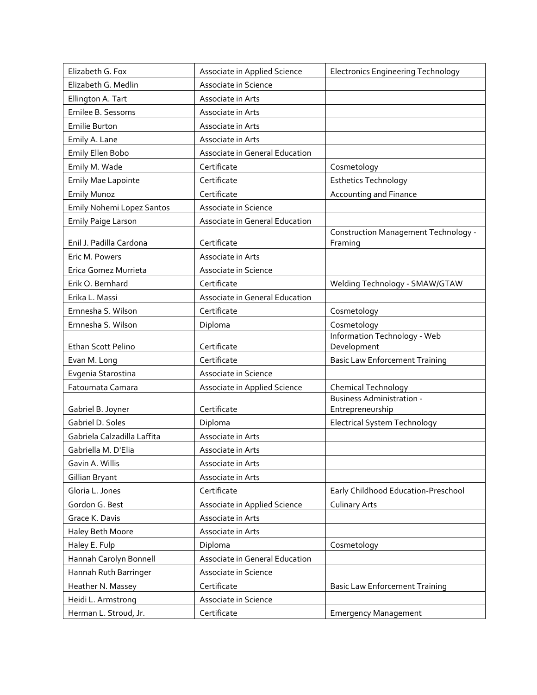| Elizabeth G. Fox            | Associate in Applied Science   | <b>Electronics Engineering Technology</b>                      |
|-----------------------------|--------------------------------|----------------------------------------------------------------|
| Elizabeth G. Medlin         | Associate in Science           |                                                                |
| Ellington A. Tart           | Associate in Arts              |                                                                |
| Emilee B. Sessoms           | Associate in Arts              |                                                                |
| <b>Emilie Burton</b>        | Associate in Arts              |                                                                |
| Emily A. Lane               | Associate in Arts              |                                                                |
| Emily Ellen Bobo            | Associate in General Education |                                                                |
| Emily M. Wade               | Certificate                    | Cosmetology                                                    |
| <b>Emily Mae Lapointe</b>   | Certificate                    | <b>Esthetics Technology</b>                                    |
| <b>Emily Munoz</b>          | Certificate                    | <b>Accounting and Finance</b>                                  |
| Emily Nohemi Lopez Santos   | Associate in Science           |                                                                |
| <b>Emily Paige Larson</b>   | Associate in General Education |                                                                |
| Enil J. Padilla Cardona     | Certificate                    | Construction Management Technology -<br>Framing                |
| Eric M. Powers              | Associate in Arts              |                                                                |
| Erica Gomez Murrieta        | Associate in Science           |                                                                |
| Erik O. Bernhard            | Certificate                    | Welding Technology - SMAW/GTAW                                 |
| Erika L. Massi              | Associate in General Education |                                                                |
| Ernnesha S. Wilson          | Certificate                    | Cosmetology                                                    |
| Ernnesha S. Wilson          | Diploma                        | Cosmetology                                                    |
|                             |                                | Information Technology - Web                                   |
| Ethan Scott Pelino          | Certificate                    | Development                                                    |
| Evan M. Long                | Certificate                    | <b>Basic Law Enforcement Training</b>                          |
| Evgenia Starostina          | Associate in Science           |                                                                |
| Fatoumata Camara            | Associate in Applied Science   | <b>Chemical Technology</b><br><b>Business Administration -</b> |
| Gabriel B. Joyner           | Certificate                    | Entrepreneurship                                               |
| Gabriel D. Soles            | Diploma                        | <b>Electrical System Technology</b>                            |
| Gabriela Calzadilla Laffita | Associate in Arts              |                                                                |
| Gabriella M. D'Elia         | Associate in Arts              |                                                                |
| Gavin A. Willis             | Associate in Arts              |                                                                |
| Gillian Bryant              | Associate in Arts              |                                                                |
| Gloria L. Jones             | Certificate                    | Early Childhood Education-Preschool                            |
| Gordon G. Best              | Associate in Applied Science   | <b>Culinary Arts</b>                                           |
| Grace K. Davis              | Associate in Arts              |                                                                |
| Haley Beth Moore            | Associate in Arts              |                                                                |
| Haley E. Fulp               | Diploma                        | Cosmetology                                                    |
| Hannah Carolyn Bonnell      | Associate in General Education |                                                                |
| Hannah Ruth Barringer       | Associate in Science           |                                                                |
| Heather N. Massey           | Certificate                    | <b>Basic Law Enforcement Training</b>                          |
| Heidi L. Armstrong          | Associate in Science           |                                                                |
| Herman L. Stroud, Jr.       | Certificate                    | <b>Emergency Management</b>                                    |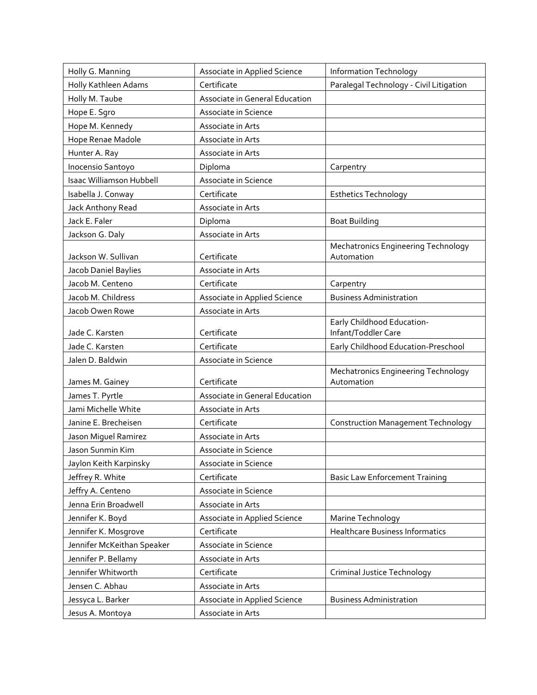| Holly G. Manning           | Associate in Applied Science   | Information Technology                    |
|----------------------------|--------------------------------|-------------------------------------------|
| Holly Kathleen Adams       | Certificate                    | Paralegal Technology - Civil Litigation   |
| Holly M. Taube             | Associate in General Education |                                           |
| Hope E. Sgro               | Associate in Science           |                                           |
| Hope M. Kennedy            | Associate in Arts              |                                           |
| Hope Renae Madole          | Associate in Arts              |                                           |
| Hunter A. Ray              | Associate in Arts              |                                           |
| Inocensio Santoyo          | Diploma                        | Carpentry                                 |
| Isaac Williamson Hubbell   | Associate in Science           |                                           |
| Isabella J. Conway         | Certificate                    | <b>Esthetics Technology</b>               |
| Jack Anthony Read          | Associate in Arts              |                                           |
| Jack E. Faler              | Diploma                        | <b>Boat Building</b>                      |
| Jackson G. Daly            | Associate in Arts              |                                           |
|                            |                                | Mechatronics Engineering Technology       |
| Jackson W. Sullivan        | Certificate                    | Automation                                |
| Jacob Daniel Baylies       | Associate in Arts              |                                           |
| Jacob M. Centeno           | Certificate                    | Carpentry                                 |
| Jacob M. Childress         | Associate in Applied Science   | <b>Business Administration</b>            |
| Jacob Owen Rowe            | Associate in Arts              | Early Childhood Education-                |
| Jade C. Karsten            | Certificate                    | Infant/Toddler Care                       |
| Jade C. Karsten            | Certificate                    | Early Childhood Education-Preschool       |
| Jalen D. Baldwin           | Associate in Science           |                                           |
|                            |                                | Mechatronics Engineering Technology       |
| James M. Gainey            | Certificate                    | Automation                                |
| James T. Pyrtle            | Associate in General Education |                                           |
| Jami Michelle White        | Associate in Arts              |                                           |
| Janine E. Brecheisen       | Certificate                    | <b>Construction Management Technology</b> |
| Jason Miguel Ramirez       | Associate in Arts              |                                           |
| Jason Sunmin Kim           | Associate in Science           |                                           |
| Jaylon Keith Karpinsky     | Associate in Science           |                                           |
| Jeffrey R. White           | Certificate                    | <b>Basic Law Enforcement Training</b>     |
| Jeffry A. Centeno          | Associate in Science           |                                           |
| Jenna Erin Broadwell       | Associate in Arts              |                                           |
| Jennifer K. Boyd           | Associate in Applied Science   | Marine Technology                         |
| Jennifer K. Mosgrove       | Certificate                    | <b>Healthcare Business Informatics</b>    |
| Jennifer McKeithan Speaker | Associate in Science           |                                           |
| Jennifer P. Bellamy        | Associate in Arts              |                                           |
| Jennifer Whitworth         | Certificate                    | Criminal Justice Technology               |
| Jensen C. Abhau            | Associate in Arts              |                                           |
| Jessyca L. Barker          | Associate in Applied Science   | <b>Business Administration</b>            |
| Jesus A. Montoya           | Associate in Arts              |                                           |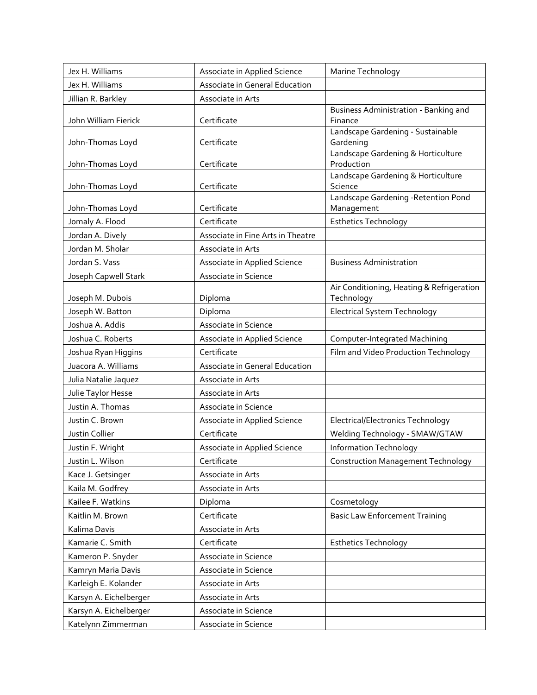| Jex H. Williams        | Associate in Applied Science      | Marine Technology                                       |
|------------------------|-----------------------------------|---------------------------------------------------------|
| Jex H. Williams        | Associate in General Education    |                                                         |
| Jillian R. Barkley     | Associate in Arts                 |                                                         |
| John William Fierick   | Certificate                       | Business Administration - Banking and<br>Finance        |
| John-Thomas Loyd       | Certificate                       | Landscape Gardening - Sustainable<br>Gardening          |
| John-Thomas Loyd       | Certificate                       | Landscape Gardening & Horticulture<br>Production        |
| John-Thomas Loyd       | Certificate                       | Landscape Gardening & Horticulture<br>Science           |
| John-Thomas Loyd       | Certificate                       | Landscape Gardening - Retention Pond<br>Management      |
| Jomaly A. Flood        | Certificate                       | <b>Esthetics Technology</b>                             |
| Jordan A. Dively       | Associate in Fine Arts in Theatre |                                                         |
| Jordan M. Sholar       | Associate in Arts                 |                                                         |
| Jordan S. Vass         | Associate in Applied Science      | <b>Business Administration</b>                          |
| Joseph Capwell Stark   | Associate in Science              |                                                         |
| Joseph M. Dubois       | Diploma                           | Air Conditioning, Heating & Refrigeration<br>Technology |
| Joseph W. Batton       | Diploma                           | <b>Electrical System Technology</b>                     |
| Joshua A. Addis        | Associate in Science              |                                                         |
| Joshua C. Roberts      | Associate in Applied Science      | Computer-Integrated Machining                           |
| Joshua Ryan Higgins    | Certificate                       | Film and Video Production Technology                    |
| Juacora A. Williams    | Associate in General Education    |                                                         |
| Julia Natalie Jaquez   | Associate in Arts                 |                                                         |
| Julie Taylor Hesse     | Associate in Arts                 |                                                         |
| Justin A. Thomas       | Associate in Science              |                                                         |
| Justin C. Brown        | Associate in Applied Science      | <b>Electrical/Electronics Technology</b>                |
| Justin Collier         | Certificate                       | Welding Technology - SMAW/GTAW                          |
| Justin F. Wright       | Associate in Applied Science      | <b>Information Technology</b>                           |
| Justin L. Wilson       | Certificate                       | <b>Construction Management Technology</b>               |
| Kace J. Getsinger      | Associate in Arts                 |                                                         |
| Kaila M. Godfrey       | Associate in Arts                 |                                                         |
| Kailee F. Watkins      | Diploma                           | Cosmetology                                             |
| Kaitlin M. Brown       | Certificate                       | <b>Basic Law Enforcement Training</b>                   |
| Kalima Davis           | Associate in Arts                 |                                                         |
| Kamarie C. Smith       | Certificate                       | <b>Esthetics Technology</b>                             |
| Kameron P. Snyder      | Associate in Science              |                                                         |
| Kamryn Maria Davis     | Associate in Science              |                                                         |
| Karleigh E. Kolander   | Associate in Arts                 |                                                         |
| Karsyn A. Eichelberger | Associate in Arts                 |                                                         |
| Karsyn A. Eichelberger | Associate in Science              |                                                         |
| Katelynn Zimmerman     | Associate in Science              |                                                         |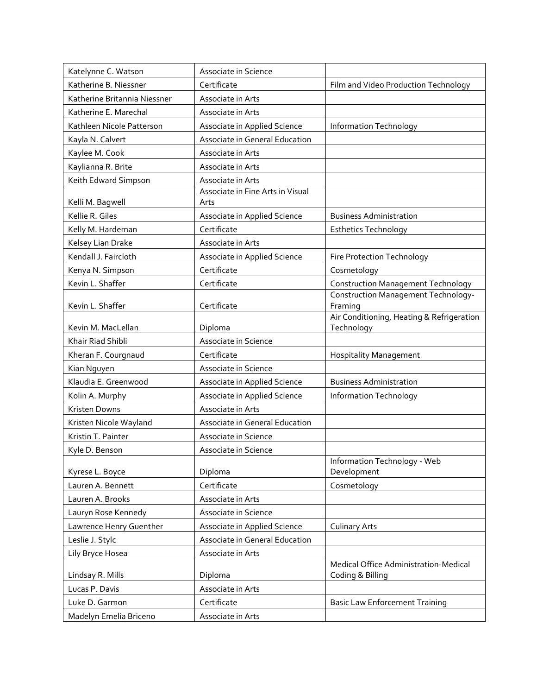| Katelynne C. Watson          | Associate in Science                     |                                                           |
|------------------------------|------------------------------------------|-----------------------------------------------------------|
| Katherine B. Niessner        | Certificate                              | Film and Video Production Technology                      |
| Katherine Britannia Niessner | Associate in Arts                        |                                                           |
| Katherine E. Marechal        | Associate in Arts                        |                                                           |
| Kathleen Nicole Patterson    | Associate in Applied Science             | Information Technology                                    |
| Kayla N. Calvert             | Associate in General Education           |                                                           |
| Kaylee M. Cook               | Associate in Arts                        |                                                           |
| Kaylianna R. Brite           | Associate in Arts                        |                                                           |
| Keith Edward Simpson         | Associate in Arts                        |                                                           |
| Kelli M. Bagwell             | Associate in Fine Arts in Visual<br>Arts |                                                           |
| Kellie R. Giles              | Associate in Applied Science             | <b>Business Administration</b>                            |
| Kelly M. Hardeman            | Certificate                              | <b>Esthetics Technology</b>                               |
| Kelsey Lian Drake            | Associate in Arts                        |                                                           |
| Kendall J. Faircloth         | Associate in Applied Science             | Fire Protection Technology                                |
| Kenya N. Simpson             | Certificate                              | Cosmetology                                               |
| Kevin L. Shaffer             | Certificate                              | <b>Construction Management Technology</b>                 |
| Kevin L. Shaffer             | Certificate                              | <b>Construction Management Technology-</b><br>Framing     |
| Kevin M. MacLellan           | Diploma                                  | Air Conditioning, Heating & Refrigeration<br>Technology   |
| Khair Riad Shibli            | Associate in Science                     |                                                           |
| Kheran F. Courgnaud          | Certificate                              | <b>Hospitality Management</b>                             |
| Kian Nguyen                  | Associate in Science                     |                                                           |
| Klaudia E. Greenwood         | Associate in Applied Science             | <b>Business Administration</b>                            |
| Kolin A. Murphy              | Associate in Applied Science             | Information Technology                                    |
| Kristen Downs                | Associate in Arts                        |                                                           |
| Kristen Nicole Wayland       | Associate in General Education           |                                                           |
| Kristin T. Painter           | Associate in Science                     |                                                           |
| Kyle D. Benson               | Associate in Science                     |                                                           |
| Kyrese L. Boyce              | Diploma                                  | Information Technology - Web<br>Development               |
| Lauren A. Bennett            | Certificate                              | Cosmetology                                               |
| Lauren A. Brooks             | Associate in Arts                        |                                                           |
| Lauryn Rose Kennedy          | Associate in Science                     |                                                           |
| Lawrence Henry Guenther      | Associate in Applied Science             | <b>Culinary Arts</b>                                      |
| Leslie J. Stylc              | Associate in General Education           |                                                           |
| Lily Bryce Hosea             | Associate in Arts                        |                                                           |
| Lindsay R. Mills             | Diploma                                  | Medical Office Administration-Medical<br>Coding & Billing |
| Lucas P. Davis               | Associate in Arts                        |                                                           |
| Luke D. Garmon               | Certificate                              | <b>Basic Law Enforcement Training</b>                     |
| Madelyn Emelia Briceno       | Associate in Arts                        |                                                           |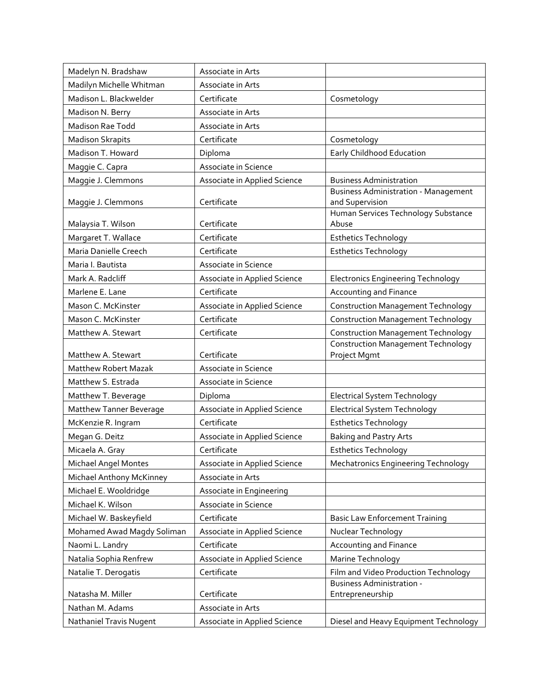| Madelyn N. Bradshaw         | Associate in Arts            |                                                                |
|-----------------------------|------------------------------|----------------------------------------------------------------|
| Madilyn Michelle Whitman    | Associate in Arts            |                                                                |
| Madison L. Blackwelder      | Certificate                  | Cosmetology                                                    |
| Madison N. Berry            | Associate in Arts            |                                                                |
| <b>Madison Rae Todd</b>     | Associate in Arts            |                                                                |
| <b>Madison Skrapits</b>     | Certificate                  | Cosmetology                                                    |
| Madison T. Howard           | Diploma                      | Early Childhood Education                                      |
| Maggie C. Capra             | Associate in Science         |                                                                |
| Maggie J. Clemmons          | Associate in Applied Science | <b>Business Administration</b>                                 |
| Maggie J. Clemmons          | Certificate                  | <b>Business Administration - Management</b><br>and Supervision |
| Malaysia T. Wilson          | Certificate                  | Human Services Technology Substance<br>Abuse                   |
| Margaret T. Wallace         | Certificate                  | <b>Esthetics Technology</b>                                    |
| Maria Danielle Creech       | Certificate                  | <b>Esthetics Technology</b>                                    |
| Maria I. Bautista           | Associate in Science         |                                                                |
| Mark A. Radcliff            | Associate in Applied Science | <b>Electronics Engineering Technology</b>                      |
| Marlene E. Lane             | Certificate                  | <b>Accounting and Finance</b>                                  |
| Mason C. McKinster          | Associate in Applied Science | <b>Construction Management Technology</b>                      |
| Mason C. McKinster          | Certificate                  | <b>Construction Management Technology</b>                      |
| Matthew A. Stewart          | Certificate                  | <b>Construction Management Technology</b>                      |
| Matthew A. Stewart          | Certificate                  | <b>Construction Management Technology</b><br>Project Mgmt      |
| <b>Matthew Robert Mazak</b> | Associate in Science         |                                                                |
| Matthew S. Estrada          | Associate in Science         |                                                                |
| Matthew T. Beverage         | Diploma                      | <b>Electrical System Technology</b>                            |
| Matthew Tanner Beverage     | Associate in Applied Science | <b>Electrical System Technology</b>                            |
| McKenzie R. Ingram          | Certificate                  | <b>Esthetics Technology</b>                                    |
| Megan G. Deitz              | Associate in Applied Science | <b>Baking and Pastry Arts</b>                                  |
| Micaela A. Gray             | Certificate                  | <b>Esthetics Technology</b>                                    |
| <b>Michael Angel Montes</b> | Associate in Applied Science | Mechatronics Engineering Technology                            |
| Michael Anthony McKinney    | Associate in Arts            |                                                                |
| Michael E. Wooldridge       | Associate in Engineering     |                                                                |
| Michael K. Wilson           | Associate in Science         |                                                                |
| Michael W. Baskeyfield      | Certificate                  | <b>Basic Law Enforcement Training</b>                          |
| Mohamed Awad Magdy Soliman  | Associate in Applied Science | Nuclear Technology                                             |
| Naomi L. Landry             | Certificate                  | Accounting and Finance                                         |
| Natalia Sophia Renfrew      | Associate in Applied Science | Marine Technology                                              |
| Natalie T. Derogatis        | Certificate                  | Film and Video Production Technology                           |
|                             |                              | <b>Business Administration -</b>                               |
| Natasha M. Miller           | Certificate                  | Entrepreneurship                                               |
| Nathan M. Adams             | Associate in Arts            |                                                                |
| Nathaniel Travis Nugent     | Associate in Applied Science | Diesel and Heavy Equipment Technology                          |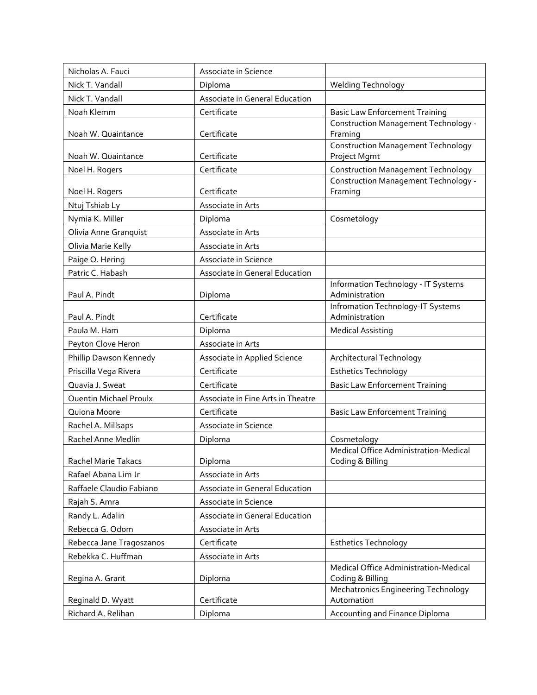| Nicholas A. Fauci        | Associate in Science              |                                                           |
|--------------------------|-----------------------------------|-----------------------------------------------------------|
| Nick T. Vandall          | Diploma                           | <b>Welding Technology</b>                                 |
| Nick T. Vandall          | Associate in General Education    |                                                           |
| Noah Klemm               | Certificate                       | <b>Basic Law Enforcement Training</b>                     |
|                          |                                   | Construction Management Technology -                      |
| Noah W. Quaintance       | Certificate                       | Framing                                                   |
| Noah W. Quaintance       | Certificate                       | <b>Construction Management Technology</b><br>Project Mgmt |
| Noel H. Rogers           | Certificate                       | <b>Construction Management Technology</b>                 |
|                          |                                   | Construction Management Technology -                      |
| Noel H. Rogers           | Certificate                       | Framing                                                   |
| Ntuj Tshiab Ly           | Associate in Arts                 |                                                           |
| Nymia K. Miller          | Diploma                           | Cosmetology                                               |
| Olivia Anne Granquist    | Associate in Arts                 |                                                           |
| Olivia Marie Kelly       | Associate in Arts                 |                                                           |
| Paige O. Hering          | Associate in Science              |                                                           |
| Patric C. Habash         | Associate in General Education    |                                                           |
| Paul A. Pindt            | Diploma                           | Information Technology - IT Systems<br>Administration     |
| Paul A. Pindt            | Certificate                       | Infromation Technology-IT Systems<br>Administration       |
| Paula M. Ham             | Diploma                           | <b>Medical Assisting</b>                                  |
| Peyton Clove Heron       | Associate in Arts                 |                                                           |
| Phillip Dawson Kennedy   | Associate in Applied Science      | Architectural Technology                                  |
| Priscilla Vega Rivera    | Certificate                       | <b>Esthetics Technology</b>                               |
| Quavia J. Sweat          | Certificate                       | <b>Basic Law Enforcement Training</b>                     |
| Quentin Michael Proulx   | Associate in Fine Arts in Theatre |                                                           |
| Quiona Moore             | Certificate                       | <b>Basic Law Enforcement Training</b>                     |
| Rachel A. Millsaps       | Associate in Science              |                                                           |
| Rachel Anne Medlin       | Diploma                           | Cosmetology                                               |
|                          |                                   | Medical Office Administration-Medical                     |
| Rachel Marie Takacs      | Diploma                           | Coding & Billing                                          |
| Rafael Abana Lim Jr      | Associate in Arts                 |                                                           |
| Raffaele Claudio Fabiano | Associate in General Education    |                                                           |
| Rajah S. Amra            | Associate in Science              |                                                           |
| Randy L. Adalin          | Associate in General Education    |                                                           |
| Rebecca G. Odom          | Associate in Arts                 |                                                           |
| Rebecca Jane Tragoszanos | Certificate                       | <b>Esthetics Technology</b>                               |
| Rebekka C. Huffman       | Associate in Arts                 |                                                           |
|                          | Diploma                           | Medical Office Administration-Medical<br>Coding & Billing |
| Regina A. Grant          |                                   | Mechatronics Engineering Technology                       |
| Reginald D. Wyatt        | Certificate                       | Automation                                                |
| Richard A. Relihan       | Diploma                           | Accounting and Finance Diploma                            |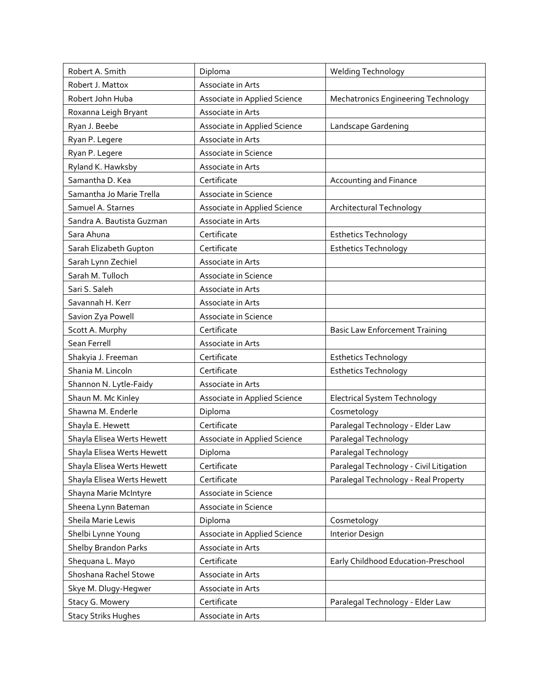| Robert A. Smith             | Diploma                             | Welding Technology                         |
|-----------------------------|-------------------------------------|--------------------------------------------|
| Robert J. Mattox            | Associate in Arts                   |                                            |
| Robert John Huba            | Associate in Applied Science        | <b>Mechatronics Engineering Technology</b> |
| Roxanna Leigh Bryant        | Associate in Arts                   |                                            |
| Ryan J. Beebe               | Associate in Applied Science        | Landscape Gardening                        |
| Ryan P. Legere              | Associate in Arts                   |                                            |
| Ryan P. Legere              | Associate in Science                |                                            |
| Ryland K. Hawksby           | Associate in Arts                   |                                            |
| Samantha D. Kea             | Certificate                         | <b>Accounting and Finance</b>              |
| Samantha Jo Marie Trella    | Associate in Science                |                                            |
| Samuel A. Starnes           | <b>Associate in Applied Science</b> | Architectural Technology                   |
| Sandra A. Bautista Guzman   | Associate in Arts                   |                                            |
| Sara Ahuna                  | Certificate                         | <b>Esthetics Technology</b>                |
| Sarah Elizabeth Gupton      | Certificate                         | <b>Esthetics Technology</b>                |
| Sarah Lynn Zechiel          | Associate in Arts                   |                                            |
| Sarah M. Tulloch            | Associate in Science                |                                            |
| Sari S. Saleh               | Associate in Arts                   |                                            |
| Savannah H. Kerr            | Associate in Arts                   |                                            |
| Savion Zya Powell           | Associate in Science                |                                            |
| Scott A. Murphy             | Certificate                         | <b>Basic Law Enforcement Training</b>      |
| Sean Ferrell                | Associate in Arts                   |                                            |
| Shakyia J. Freeman          | Certificate                         | <b>Esthetics Technology</b>                |
| Shania M. Lincoln           | Certificate                         | <b>Esthetics Technology</b>                |
| Shannon N. Lytle-Faidy      | Associate in Arts                   |                                            |
| Shaun M. Mc Kinley          | Associate in Applied Science        | Electrical System Technology               |
| Shawna M. Enderle           | Diploma                             | Cosmetology                                |
| Shayla E. Hewett            | Certificate                         | Paralegal Technology - Elder Law           |
| Shayla Elisea Werts Hewett  | Associate in Applied Science        | Paralegal Technology                       |
| Shayla Elisea Werts Hewett  | Diploma                             | Paralegal Technology                       |
| Shayla Elisea Werts Hewett  | Certificate                         | Paralegal Technology - Civil Litigation    |
| Shayla Elisea Werts Hewett  | Certificate                         | Paralegal Technology - Real Property       |
| Shayna Marie McIntyre       | Associate in Science                |                                            |
| Sheena Lynn Bateman         | Associate in Science                |                                            |
| Sheila Marie Lewis          | Diploma                             | Cosmetology                                |
| Shelbi Lynne Young          | Associate in Applied Science        | Interior Design                            |
| <b>Shelby Brandon Parks</b> | Associate in Arts                   |                                            |
| Shequana L. Mayo            | Certificate                         | Early Childhood Education-Preschool        |
| Shoshana Rachel Stowe       | Associate in Arts                   |                                            |
| Skye M. Dlugy-Hegwer        | Associate in Arts                   |                                            |
| Stacy G. Mowery             | Certificate                         | Paralegal Technology - Elder Law           |
| <b>Stacy Striks Hughes</b>  | Associate in Arts                   |                                            |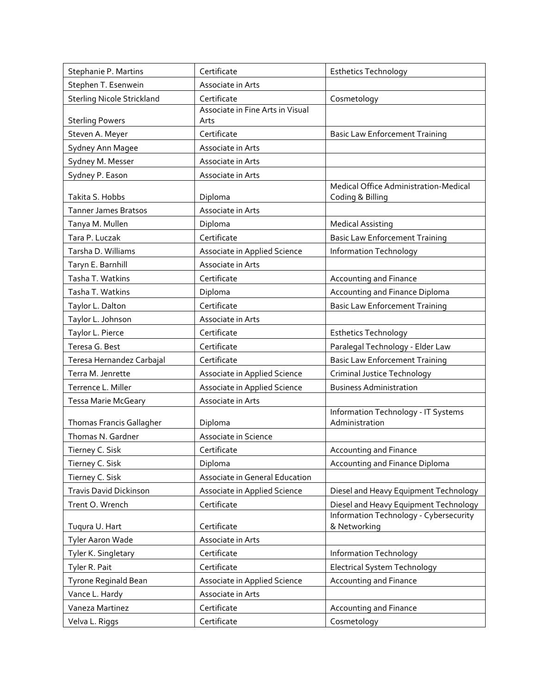| Stephanie P. Martins              | Certificate                              | <b>Esthetics Technology</b>                               |
|-----------------------------------|------------------------------------------|-----------------------------------------------------------|
| Stephen T. Esenwein               | Associate in Arts                        |                                                           |
| <b>Sterling Nicole Strickland</b> | Certificate                              | Cosmetology                                               |
| <b>Sterling Powers</b>            | Associate in Fine Arts in Visual<br>Arts |                                                           |
| Steven A. Meyer                   | Certificate                              | <b>Basic Law Enforcement Training</b>                     |
| Sydney Ann Magee                  | Associate in Arts                        |                                                           |
| Sydney M. Messer                  | Associate in Arts                        |                                                           |
| Sydney P. Eason                   | Associate in Arts                        |                                                           |
| Takita S. Hobbs                   | Diploma                                  | Medical Office Administration-Medical<br>Coding & Billing |
| <b>Tanner James Bratsos</b>       | Associate in Arts                        |                                                           |
| Tanya M. Mullen                   | Diploma                                  | <b>Medical Assisting</b>                                  |
| Tara P. Luczak                    | Certificate                              | <b>Basic Law Enforcement Training</b>                     |
| Tarsha D. Williams                | Associate in Applied Science             | <b>Information Technology</b>                             |
| Taryn E. Barnhill                 | Associate in Arts                        |                                                           |
| Tasha T. Watkins                  | Certificate                              | <b>Accounting and Finance</b>                             |
| Tasha T. Watkins                  | Diploma                                  | Accounting and Finance Diploma                            |
| Taylor L. Dalton                  | Certificate                              | <b>Basic Law Enforcement Training</b>                     |
| Taylor L. Johnson                 | Associate in Arts                        |                                                           |
| Taylor L. Pierce                  | Certificate                              | <b>Esthetics Technology</b>                               |
| Teresa G. Best                    | Certificate                              | Paralegal Technology - Elder Law                          |
| Teresa Hernandez Carbajal         | Certificate                              | <b>Basic Law Enforcement Training</b>                     |
| Terra M. Jenrette                 | Associate in Applied Science             | Criminal Justice Technology                               |
| Terrence L. Miller                | Associate in Applied Science             | <b>Business Administration</b>                            |
| Tessa Marie McGeary               | Associate in Arts                        |                                                           |
| Thomas Francis Gallagher          | Diploma                                  | Information Technology - IT Systems<br>Administration     |
| Thomas N. Gardner                 | Associate in Science                     |                                                           |
| Tierney C. Sisk                   | Certificate                              | Accounting and Finance                                    |
| Tierney C. Sisk                   | Diploma                                  | Accounting and Finance Diploma                            |
| Tierney C. Sisk                   | Associate in General Education           |                                                           |
| <b>Travis David Dickinson</b>     | Associate in Applied Science             | Diesel and Heavy Equipment Technology                     |
| Trent O. Wrench                   | Certificate                              | Diesel and Heavy Equipment Technology                     |
|                                   |                                          | Information Technology - Cybersecurity                    |
| Tuqura U. Hart                    | Certificate                              | & Networking                                              |
| Tyler Aaron Wade                  | Associate in Arts                        |                                                           |
| Tyler K. Singletary               | Certificate                              | Information Technology                                    |
| Tyler R. Pait                     | Certificate                              | <b>Electrical System Technology</b>                       |
| Tyrone Reginald Bean              | Associate in Applied Science             | Accounting and Finance                                    |
| Vance L. Hardy                    | Associate in Arts                        |                                                           |
| Vaneza Martinez                   | Certificate                              | Accounting and Finance                                    |
| Velva L. Riggs                    | Certificate                              | Cosmetology                                               |